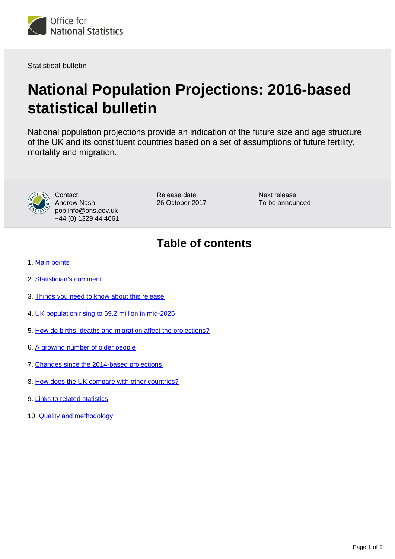

Statistical bulletin

# **National Population Projections: 2016-based statistical bulletin**

National population projections provide an indication of the future size and age structure of the UK and its constituent countries based on a set of assumptions of future fertility, mortality and migration.



Contact: Andrew Nash pop.info@ons.gov.uk +44 (0) 1329 44 4661

Release date: 26 October 2017 Next release: To be announced

# **Table of contents**

- 1. [Main points](#page-1-0)
- 2. [Statistician's comment](#page-1-1)
- 3. [Things you need to know about this release](#page-1-2)
- 4. [UK population rising to 69.2 million in mid-2026](#page-2-0)
- 5. [How do births, deaths and migration affect the projections?](#page-3-0)
- 6. [A growing number of older people](#page-4-0)
- 7. [Changes since the 2014-based projections](#page-6-0)
- 8. [How does the UK compare with other countries?](#page-7-0)
- 9. [Links to related statistics](#page-7-1)
- 10. [Quality and methodology](#page-8-0)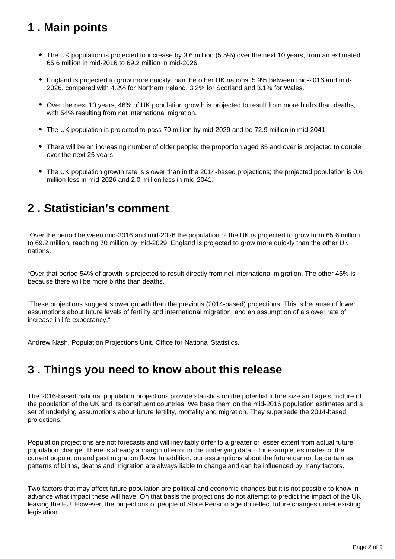# <span id="page-1-0"></span>**1 . Main points**

- The UK population is projected to increase by 3.6 million (5.5%) over the next 10 years, from an estimated 65.6 million in mid-2016 to 69.2 million in mid-2026.
- England is projected to grow more quickly than the other UK nations: 5.9% between mid-2016 and mid-2026, compared with 4.2% for Northern Ireland, 3.2% for Scotland and 3.1% for Wales.
- Over the next 10 years, 46% of UK population growth is projected to result from more births than deaths, with 54% resulting from net international migration.
- The UK population is projected to pass 70 million by mid-2029 and be 72.9 million in mid-2041.
- There will be an increasing number of older people; the proportion aged 85 and over is projected to double over the next 25 years.
- The UK population growth rate is slower than in the 2014-based projections; the projected population is 0.6 million less in mid-2026 and 2.0 million less in mid-2041.

### <span id="page-1-1"></span>**2 . Statistician's comment**

"Over the period between mid-2016 and mid-2026 the population of the UK is projected to grow from 65.6 million to 69.2 million, reaching 70 million by mid-2029. England is projected to grow more quickly than the other UK nations.

"Over that period 54% of growth is projected to result directly from net international migration. The other 46% is because there will be more births than deaths.

"These projections suggest slower growth than the previous (2014-based) projections. This is because of lower assumptions about future levels of fertility and international migration, and an assumption of a slower rate of increase in life expectancy."

Andrew Nash, Population Projections Unit, Office for National Statistics.

### <span id="page-1-2"></span>**3 . Things you need to know about this release**

The 2016-based national population projections provide statistics on the potential future size and age structure of the population of the UK and its constituent countries. We base them on the mid-2016 population estimates and a set of underlying assumptions about future fertility, mortality and migration. They supersede the 2014-based projections.

Population projections are not forecasts and will inevitably differ to a greater or lesser extent from actual future population change. There is already a margin of error in the underlying data – for example, estimates of the current population and past migration flows. In addition, our assumptions about the future cannot be certain as patterns of births, deaths and migration are always liable to change and can be influenced by many factors.

Two factors that may affect future population are political and economic changes but it is not possible to know in advance what impact these will have. On that basis the projections do not attempt to predict the impact of the UK leaving the EU. However, the projections of people of State Pension age do reflect future changes under existing legislation.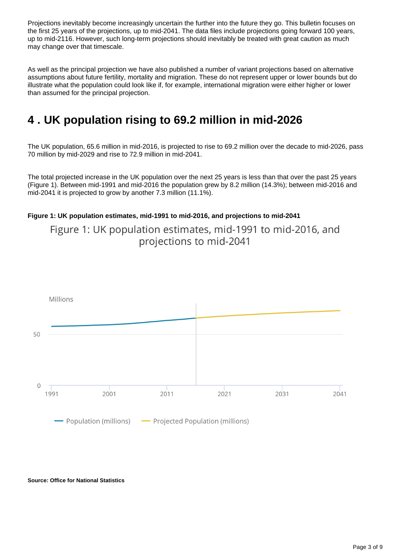Projections inevitably become increasingly uncertain the further into the future they go. This bulletin focuses on the first 25 years of the projections, up to mid-2041. The data files include projections going forward 100 years, up to mid-2116. However, such long-term projections should inevitably be treated with great caution as much may change over that timescale.

As well as the principal projection we have also published a number of variant projections based on alternative assumptions about future fertility, mortality and migration. These do not represent upper or lower bounds but do illustrate what the population could look like if, for example, international migration were either higher or lower than assumed for the principal projection.

# <span id="page-2-0"></span>**4 . UK population rising to 69.2 million in mid-2026**

The UK population, 65.6 million in mid-2016, is projected to rise to 69.2 million over the decade to mid-2026, pass 70 million by mid-2029 and rise to 72.9 million in mid-2041.

The total projected increase in the UK population over the next 25 years is less than that over the past 25 years (Figure 1). Between mid-1991 and mid-2016 the population grew by 8.2 million (14.3%); between mid-2016 and mid-2041 it is projected to grow by another 7.3 million (11.1%).

#### **Figure 1: UK population estimates, mid-1991 to mid-2016, and projections to mid-2041**

Figure 1: UK population estimates, mid-1991 to mid-2016, and projections to mid-2041



#### **Source: Office for National Statistics**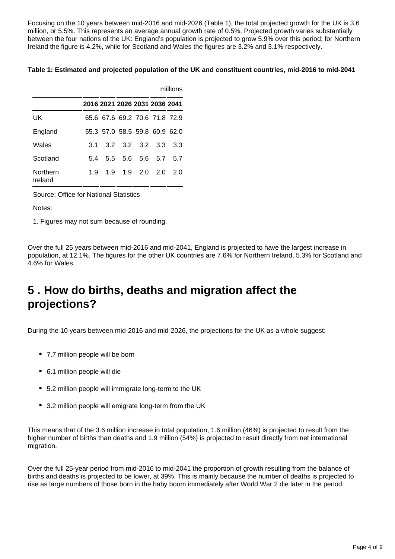Focusing on the 10 years between mid-2016 and mid-2026 (Table 1), the total projected growth for the UK is 3.6 million, or 5.5%. This represents an average annual growth rate of 0.5%. Projected growth varies substantially between the four nations of the UK: England's population is projected to grow 5.9% over this period; for Northern Ireland the figure is 4.2%, while for Scotland and Wales the figures are 3.2% and 3.1% respectively.

#### **Table 1: Estimated and projected population of the UK and constituent countries, mid-2016 to mid-2041**

|                     |     |                               |             | millions |                 |     |  |
|---------------------|-----|-------------------------------|-------------|----------|-----------------|-----|--|
|                     |     | 2016 2021 2026 2031 2036 2041 |             |          |                 |     |  |
| UK                  |     | 65.6 67.6 69.2 70.6 71.8 72.9 |             |          |                 |     |  |
| England             |     | 55.3 57.0 58.5 59.8 60.9 62.0 |             |          |                 |     |  |
| Wales               | 3.1 |                               |             |          | 3.2 3.2 3.2 3.3 | 3.3 |  |
| Scotland            | 54  | 55.                           |             | 5.6 5.6  | 5.7             | 57  |  |
| Northern<br>Ireland | 19  |                               | 1.9 1.9 2.0 |          | 20 <sup>o</sup> | 20  |  |

Source: Office for National Statistics

Notes:

1. Figures may not sum because of rounding.

Over the full 25 years between mid-2016 and mid-2041, England is projected to have the largest increase in population, at 12.1%. The figures for the other UK countries are 7.6% for Northern Ireland, 5.3% for Scotland and 4.6% for Wales.

### <span id="page-3-0"></span>**5 . How do births, deaths and migration affect the projections?**

During the 10 years between mid-2016 and mid-2026, the projections for the UK as a whole suggest:

- 7.7 million people will be born
- 6.1 million people will die
- 5.2 million people will immigrate long-term to the UK
- 3.2 million people will emigrate long-term from the UK

This means that of the 3.6 million increase in total population, 1.6 million (46%) is projected to result from the higher number of births than deaths and 1.9 million (54%) is projected to result directly from net international migration.

Over the full 25-year period from mid-2016 to mid-2041 the proportion of growth resulting from the balance of births and deaths is projected to be lower, at 39%. This is mainly because the number of deaths is projected to rise as large numbers of those born in the baby boom immediately after World War 2 die later in the period.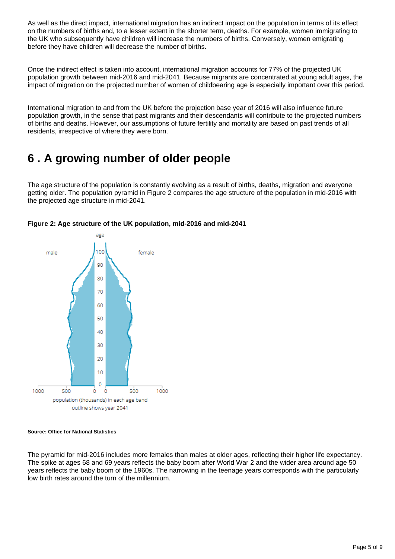As well as the direct impact, international migration has an indirect impact on the population in terms of its effect on the numbers of births and, to a lesser extent in the shorter term, deaths. For example, women immigrating to the UK who subsequently have children will increase the numbers of births. Conversely, women emigrating before they have children will decrease the number of births.

Once the indirect effect is taken into account, international migration accounts for 77% of the projected UK population growth between mid-2016 and mid-2041. Because migrants are concentrated at young adult ages, the impact of migration on the projected number of women of childbearing age is especially important over this period.

International migration to and from the UK before the projection base year of 2016 will also influence future population growth, in the sense that past migrants and their descendants will contribute to the projected numbers of births and deaths. However, our assumptions of future fertility and mortality are based on past trends of all residents, irrespective of where they were born.

# <span id="page-4-0"></span>**6 . A growing number of older people**

The age structure of the population is constantly evolving as a result of births, deaths, migration and everyone getting older. The population pyramid in Figure 2 compares the age structure of the population in mid-2016 with the projected age structure in mid-2041.



#### **Figure 2: Age structure of the UK population, mid-2016 and mid-2041**

#### **Source: Office for National Statistics**

The pyramid for mid-2016 includes more females than males at older ages, reflecting their higher life expectancy. The spike at ages 68 and 69 years reflects the baby boom after World War 2 and the wider area around age 50 years reflects the baby boom of the 1960s. The narrowing in the teenage years corresponds with the particularly low birth rates around the turn of the millennium.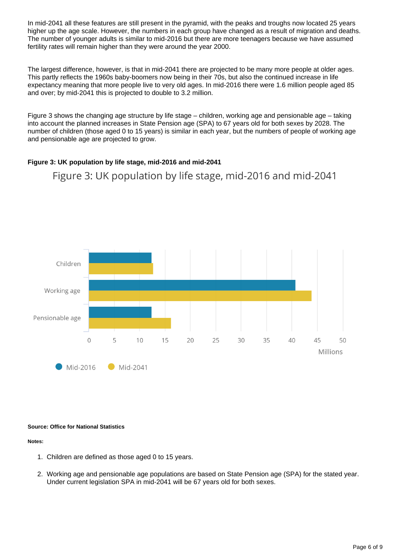In mid-2041 all these features are still present in the pyramid, with the peaks and troughs now located 25 years higher up the age scale. However, the numbers in each group have changed as a result of migration and deaths. The number of younger adults is similar to mid-2016 but there are more teenagers because we have assumed fertility rates will remain higher than they were around the year 2000.

The largest difference, however, is that in mid-2041 there are projected to be many more people at older ages. This partly reflects the 1960s baby-boomers now being in their 70s, but also the continued increase in life expectancy meaning that more people live to very old ages. In mid-2016 there were 1.6 million people aged 85 and over; by mid-2041 this is projected to double to 3.2 million.

Figure 3 shows the changing age structure by life stage – children, working age and pensionable age – taking into account the planned increases in State Pension age (SPA) to 67 years old for both sexes by 2028. The number of children (those aged 0 to 15 years) is similar in each year, but the numbers of people of working age and pensionable age are projected to grow.

#### **Figure 3: UK population by life stage, mid-2016 and mid-2041**

Figure 3: UK population by life stage, mid-2016 and mid-2041



#### **Source: Office for National Statistics**

#### **Notes:**

- 1. Children are defined as those aged 0 to 15 years.
- 2. Working age and pensionable age populations are based on State Pension age (SPA) for the stated year. Under current legislation SPA in mid-2041 will be 67 years old for both sexes.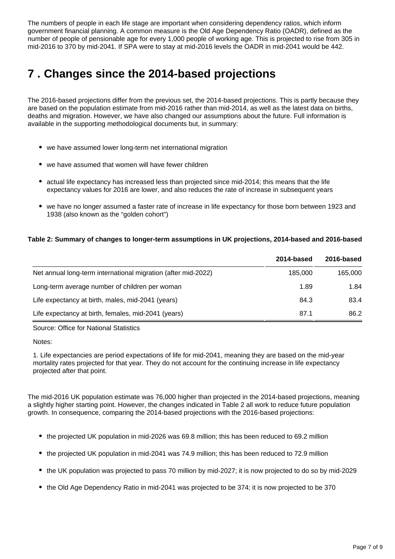The numbers of people in each life stage are important when considering dependency ratios, which inform government financial planning. A common measure is the Old Age Dependency Ratio (OADR), defined as the number of people of pensionable age for every 1,000 people of working age. This is projected to rise from 305 in mid-2016 to 370 by mid-2041. If SPA were to stay at mid-2016 levels the OADR in mid-2041 would be 442.

# <span id="page-6-0"></span>**7 . Changes since the 2014-based projections**

The 2016-based projections differ from the previous set, the 2014-based projections. This is partly because they are based on the population estimate from mid-2016 rather than mid-2014, as well as the latest data on births, deaths and migration. However, we have also changed our assumptions about the future. Full information is available in the supporting methodological documents but, in summary:

- we have assumed lower long-term net international migration
- we have assumed that women will have fewer children
- actual life expectancy has increased less than projected since mid-2014; this means that the life expectancy values for 2016 are lower, and also reduces the rate of increase in subsequent years
- we have no longer assumed a faster rate of increase in life expectancy for those born between 1923 and 1938 (also known as the "golden cohort")

#### **Table 2: Summary of changes to longer-term assumptions in UK projections, 2014-based and 2016-based**

|                                                               | 2014-based | 2016-based |
|---------------------------------------------------------------|------------|------------|
| Net annual long-term international migration (after mid-2022) | 185,000    | 165,000    |
| Long-term average number of children per woman                | 1.89       | 1.84       |
| Life expectancy at birth, males, mid-2041 (years)             | 84.3       | 83.4       |
| Life expectancy at birth, females, mid-2041 (years)           | 87.1       | 86.2       |

Source: Office for National Statistics

Notes:

1. Life expectancies are period expectations of life for mid-2041, meaning they are based on the mid-year mortality rates projected for that year. They do not account for the continuing increase in life expectancy projected after that point.

The mid-2016 UK population estimate was 76,000 higher than projected in the 2014-based projections, meaning a slightly higher starting point. However, the changes indicated in Table 2 all work to reduce future population growth. In consequence, comparing the 2014-based projections with the 2016-based projections:

- the projected UK population in mid-2026 was 69.8 million; this has been reduced to 69.2 million
- the projected UK population in mid-2041 was 74.9 million; this has been reduced to 72.9 million
- the UK population was projected to pass 70 million by mid-2027; it is now projected to do so by mid-2029
- the Old Age Dependency Ratio in mid-2041 was projected to be 374; it is now projected to be 370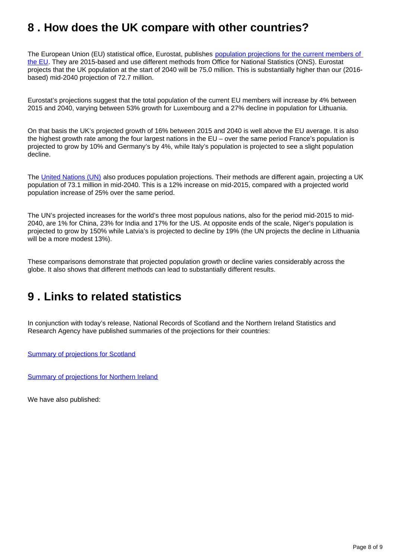### <span id="page-7-0"></span>**8 . How does the UK compare with other countries?**

The European Union (EU) statistical office, Eurostat, publishes population projections for the current members of [the EU.](http://ec.europa.eu/eurostat/web/population-demography-migration-projections/population-projections-/database) They are 2015-based and use different methods from Office for National Statistics (ONS). Eurostat projects that the UK population at the start of 2040 will be 75.0 million. This is substantially higher than our (2016 based) mid-2040 projection of 72.7 million.

Eurostat's projections suggest that the total population of the current EU members will increase by 4% between 2015 and 2040, varying between 53% growth for Luxembourg and a 27% decline in population for Lithuania.

On that basis the UK's projected growth of 16% between 2015 and 2040 is well above the EU average. It is also the highest growth rate among the four largest nations in the EU – over the same period France's population is projected to grow by 10% and Germany's by 4%, while Italy's population is projected to see a slight population decline.

The [United Nations \(UN\)](https://esa.un.org/unpd/wpp/) also produces population projections. Their methods are different again, projecting a UK population of 73.1 million in mid-2040. This is a 12% increase on mid-2015, compared with a projected world population increase of 25% over the same period.

The UN's projected increases for the world's three most populous nations, also for the period mid-2015 to mid-2040, are 1% for China, 23% for India and 17% for the US. At opposite ends of the scale, Niger's population is projected to grow by 150% while Latvia's is projected to decline by 19% (the UN projects the decline in Lithuania will be a more modest 13%).

These comparisons demonstrate that projected population growth or decline varies considerably across the globe. It also shows that different methods can lead to substantially different results.

### <span id="page-7-1"></span>**9 . Links to related statistics**

In conjunction with today's release, National Records of Scotland and the Northern Ireland Statistics and Research Agency have published summaries of the projections for their countries:

**[Summary of projections for Scotland](https://www.nrscotland.gov.uk/statistics-and-data/statistics/statistics-by-theme/population/population-projections/population-projections-scotland/2016-based)** 

[Summary of projections for Northern Ireland](https://www.nisra.gov.uk/publications/2016-based-population-projections-northern-ireland)

We have also published: